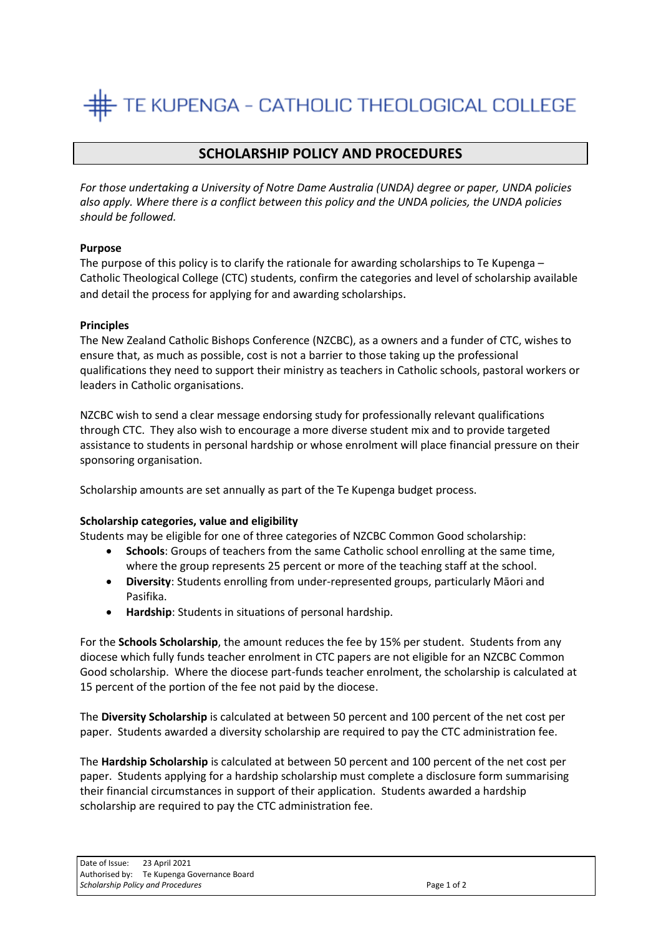# TE KUPENGA - CATHOLIC THEOLOGICAL COLLEGE

# **SCHOLARSHIP POLICY AND PROCEDURES**

*For those undertaking a University of Notre Dame Australia (UNDA) degree or paper, UNDA policies also apply. Where there is a conflict between this policy and the UNDA policies, the UNDA policies should be followed.*

# **Purpose**

The purpose of this policy is to clarify the rationale for awarding scholarships to Te Kupenga – Catholic Theological College (CTC) students, confirm the categories and level of scholarship available and detail the process for applying for and awarding scholarships.

#### **Principles**

The New Zealand Catholic Bishops Conference (NZCBC), as a owners and a funder of CTC, wishes to ensure that, as much as possible, cost is not a barrier to those taking up the professional qualifications they need to support their ministry as teachers in Catholic schools, pastoral workers or leaders in Catholic organisations.

NZCBC wish to send a clear message endorsing study for professionally relevant qualifications through CTC. They also wish to encourage a more diverse student mix and to provide targeted assistance to students in personal hardship or whose enrolment will place financial pressure on their sponsoring organisation.

Scholarship amounts are set annually as part of the Te Kupenga budget process.

#### **Scholarship categories, value and eligibility**

Students may be eligible for one of three categories of NZCBC Common Good scholarship:

- **Schools**: Groups of teachers from the same Catholic school enrolling at the same time, where the group represents 25 percent or more of the teaching staff at the school.
- **Diversity**: Students enrolling from under-represented groups, particularly Māori and Pasifika.
- **Hardship**: Students in situations of personal hardship.

For the **Schools Scholarship**, the amount reduces the fee by 15% per student. Students from any diocese which fully funds teacher enrolment in CTC papers are not eligible for an NZCBC Common Good scholarship. Where the diocese part-funds teacher enrolment, the scholarship is calculated at 15 percent of the portion of the fee not paid by the diocese.

The **Diversity Scholarship** is calculated at between 50 percent and 100 percent of the net cost per paper. Students awarded a diversity scholarship are required to pay the CTC administration fee.

The **Hardship Scholarship** is calculated at between 50 percent and 100 percent of the net cost per paper. Students applying for a hardship scholarship must complete a disclosure form summarising their financial circumstances in support of their application. Students awarded a hardship scholarship are required to pay the CTC administration fee.